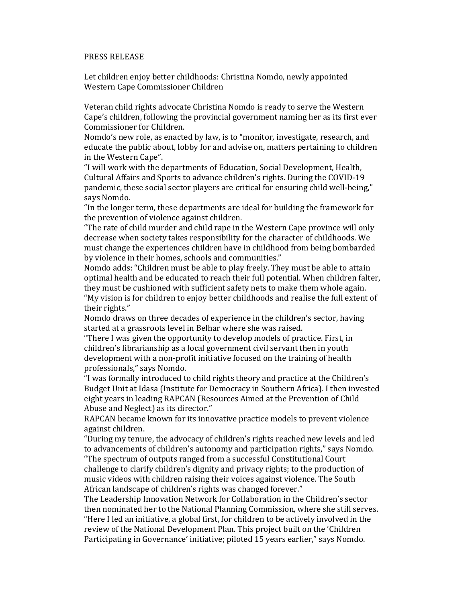## PRESS RELEASE

Let children enjoy better childhoods: Christina Nomdo, newly appointed Western Cape Commissioner Children

Veteran child rights advocate Christina Nomdo is ready to serve the Western Cape's children, following the provincial government naming her as its first ever Commissioner for Children.

Nomdo's new role, as enacted by law, is to "monitor, investigate, research, and educate the public about, lobby for and advise on, matters pertaining to children in the Western Cape".

"I will work with the departments of Education, Social Development, Health, Cultural Affairs and Sports to advance children's rights. During the COVID-19 pandemic, these social sector players are critical for ensuring child well-being," says Nomdo.

"In the longer term, these departments are ideal for building the framework for the prevention of violence against children.

"The rate of child murder and child rape in the Western Cape province will only decrease when society takes responsibility for the character of childhoods. We must change the experiences children have in childhood from being bombarded by violence in their homes, schools and communities."

Nomdo adds: "Children must be able to play freely. They must be able to attain optimal health and be educated to reach their full potential. When children falter, they must be cushioned with sufficient safety nets to make them whole again. "My vision is for children to enjoy better childhoods and realise the full extent of their rights."

Nomdo draws on three decades of experience in the children's sector, having started at a grassroots level in Belhar where she was raised.

"There I was given the opportunity to develop models of practice. First, in children's librarianship as a local government civil servant then in youth development with a non-profit initiative focused on the training of health professionals," says Nomdo.

"I was formally introduced to child rights theory and practice at the Children's Budget Unit at Idasa (Institute for Democracy in Southern Africa). I then invested eight years in leading RAPCAN (Resources Aimed at the Prevention of Child Abuse and Neglect) as its director."

RAPCAN became known for its innovative practice models to prevent violence against children.

"During my tenure, the advocacy of children's rights reached new levels and led to advancements of children's autonomy and participation rights," says Nomdo. "The spectrum of outputs ranged from a successful Constitutional Court challenge to clarify children's dignity and privacy rights; to the production of music videos with children raising their voices against violence. The South African landscape of children's rights was changed forever."

The Leadership Innovation Network for Collaboration in the Children's sector then nominated her to the National Planning Commission, where she still serves. "Here I led an initiative, a global first, for children to be actively involved in the review of the National Development Plan. This project built on the 'Children Participating in Governance' initiative; piloted 15 years earlier," says Nomdo.